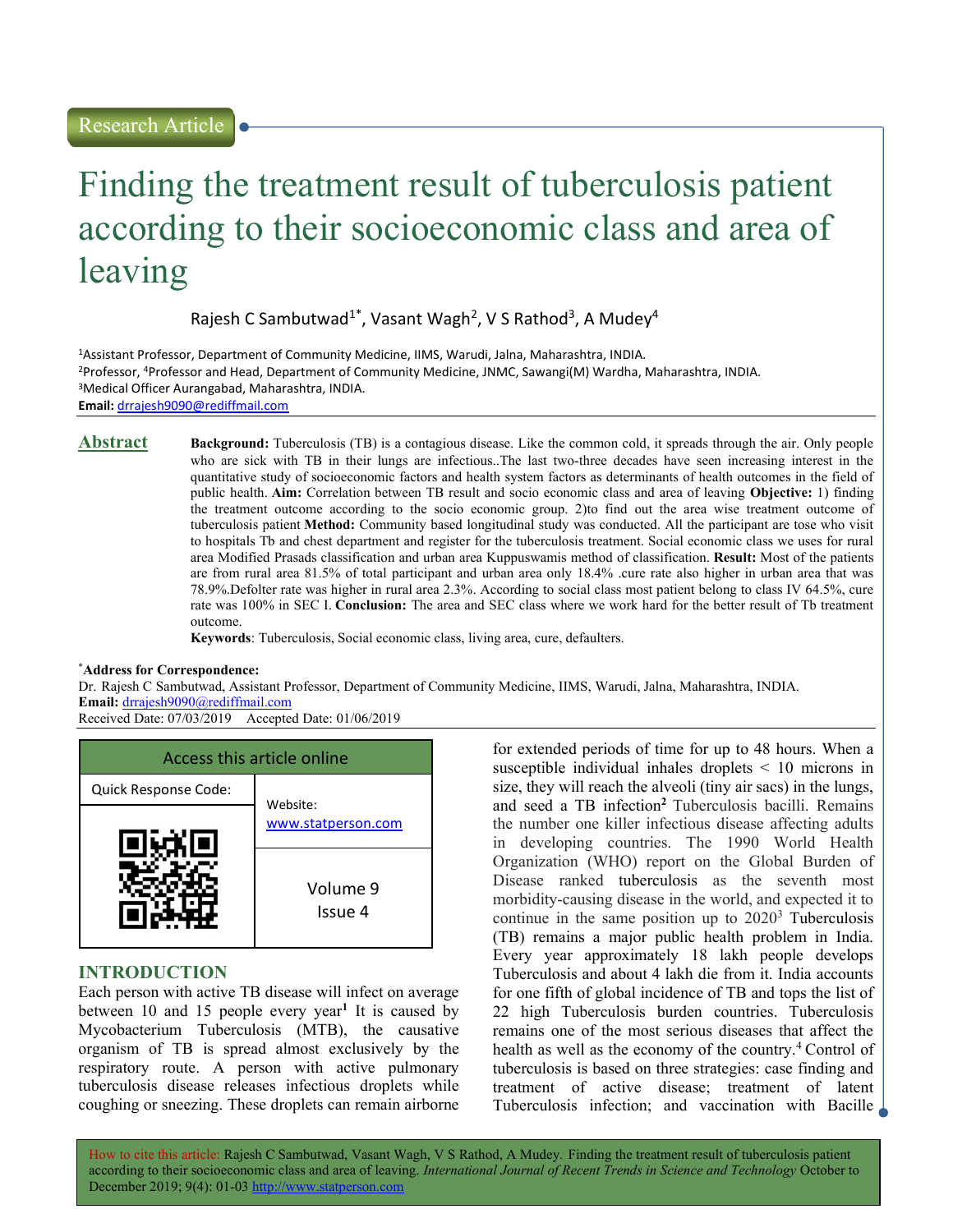# Finding the treatment result of tuberculosis patient according to their socioeconomic class and area of leaving

Rajesh C Sambutwad<sup>1\*</sup>, Vasant Wagh<sup>2</sup>, V S Rathod<sup>3</sup>, A Mudey<sup>4</sup>

Assistant Professor, Department of Community Medicine, IIMS, Warudi, Jalna, Maharashtra, INDIA. Professor, <sup>4</sup>Professor and Head, Department of Community Medicine, JNMC, Sawangi(M) Wardha, Maharashtra, INDIA. Medical Officer Aurangabad, Maharashtra, INDIA. Email: drrajesh9090@rediffmail.com

**Abstract** Background: Tuberculosis (TB) is a contagious disease. Like the common cold, it spreads through the air. Only people who are sick with TB in their lungs are infectious..The last two-three decades have seen increasing interest in the quantitative study of socioeconomic factors and health system factors as determinants of health outcomes in the field of public health. Aim: Correlation between TB result and socio economic class and area of leaving Objective: 1) finding the treatment outcome according to the socio economic group. 2)to find out the area wise treatment outcome of tuberculosis patient Method: Community based longitudinal study was conducted. All the participant are tose who visit to hospitals Tb and chest department and register for the tuberculosis treatment. Social economic class we uses for rural area Modified Prasads classification and urban area Kuppuswamis method of classification. Result: Most of the patients are from rural area 81.5% of total participant and urban area only 18.4% .cure rate also higher in urban area that was 78.9%.Defolter rate was higher in rural area 2.3%. According to social class most patient belong to class IV 64.5%, cure rate was 100% in SEC I. Conclusion: The area and SEC class where we work hard for the better result of Tb treatment outcome.

Keywords: Tuberculosis, Social economic class, living area, cure, defaulters.

### \*Address for Correspondence:

Dr. Rajesh C Sambutwad, Assistant Professor, Department of Community Medicine, IIMS, Warudi, Jalna, Maharashtra, INDIA. Email: drrajesh9090@rediffmail.com

Received Date: 07/03/2019 Accepted Date: 01/06/2019



# INTRODUCTION

Each person with active TB disease will infect on average between 10 and 15 people every year<sup>1</sup> It is caused by Mycobacterium Tuberculosis (MTB), the causative organism of TB is spread almost exclusively by the respiratory route. A person with active pulmonary tuberculosis disease releases infectious droplets while coughing or sneezing. These droplets can remain airborne

for extended periods of time for up to 48 hours. When a susceptible individual inhales droplets < 10 microns in size, they will reach the alveoli (tiny air sacs) in the lungs, and seed a TB infection<sup>2</sup> Tuberculosis bacilli. Remains the number one killer infectious disease affecting adults in developing countries. The 1990 World Health Organization (WHO) report on the Global Burden of Disease ranked tuberculosis as the seventh most morbidity-causing disease in the world, and expected it to continue in the same position up to  $2020<sup>3</sup>$  Tuberculosis (TB) remains a major public health problem in India. Every year approximately 18 lakh people develops Tuberculosis and about 4 lakh die from it. India accounts for one fifth of global incidence of TB and tops the list of 22 high Tuberculosis burden countries. Tuberculosis remains one of the most serious diseases that affect the health as well as the economy of the country.<sup>4</sup> Control of tuberculosis is based on three strategies: case finding and treatment of active disease; treatment of latent Tuberculosis infection; and vaccination with Bacille

How to cite this article: Rajesh C Sambutwad, Vasant Wagh, V S Rathod, A Mudey. Finding the treatment result of tuberculosis patient according to their socioeconomic class and area of leaving. International Journal of Recent Trends in Science and Technology October to December 2019; 9(4): 01-03 http://www.statperson.com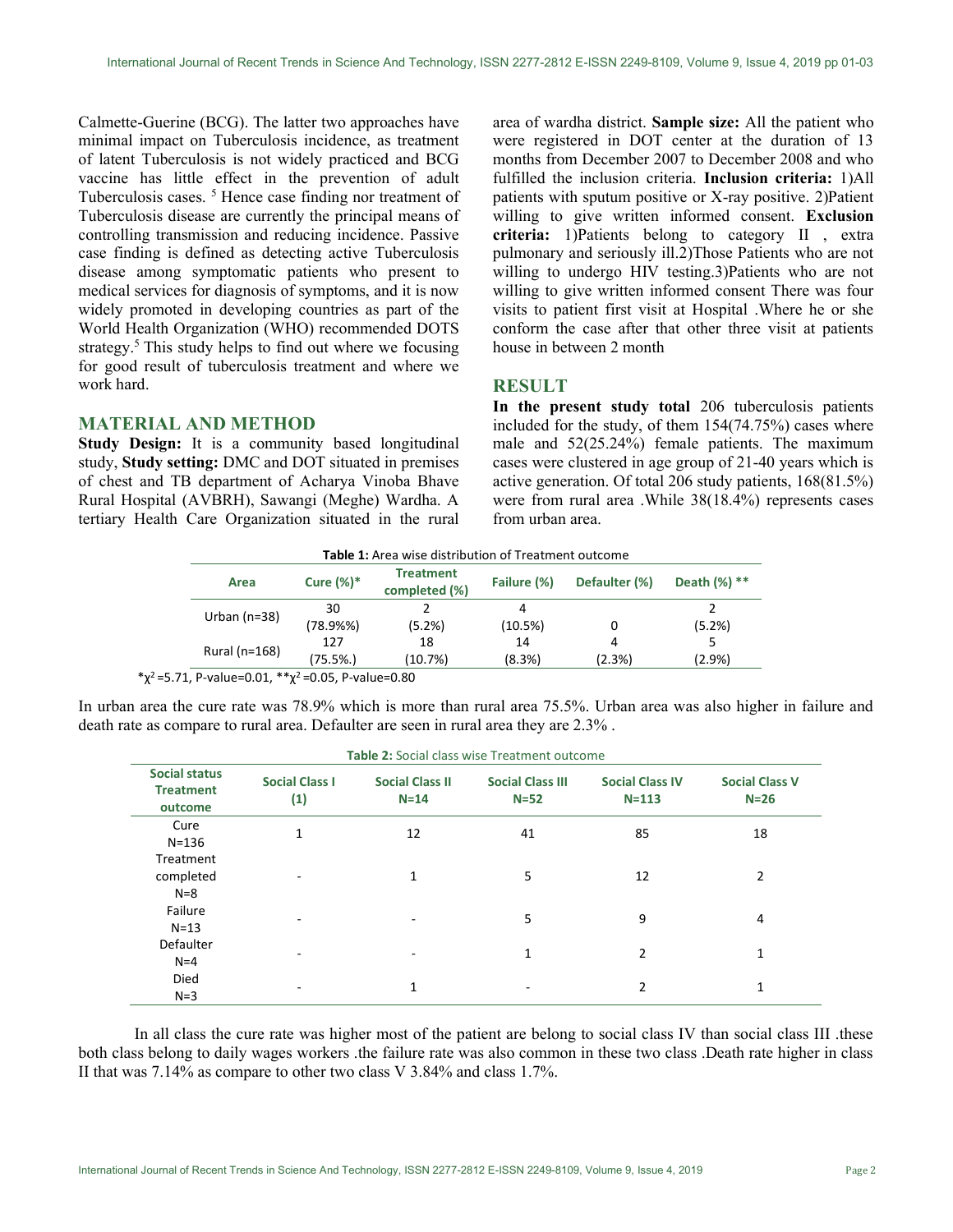Calmette-Guerine (BCG). The latter two approaches have minimal impact on Tuberculosis incidence, as treatment of latent Tuberculosis is not widely practiced and BCG vaccine has little effect in the prevention of adult Tuberculosis cases.<sup>5</sup> Hence case finding nor treatment of Tuberculosis disease are currently the principal means of controlling transmission and reducing incidence. Passive case finding is defined as detecting active Tuberculosis disease among symptomatic patients who present to medical services for diagnosis of symptoms, and it is now widely promoted in developing countries as part of the World Health Organization (WHO) recommended DOTS strategy.<sup>5</sup> This study helps to find out where we focusing for good result of tuberculosis treatment and where we work hard.

MATERIAL AND METHOD

Study Design: It is a community based longitudinal study, Study setting: DMC and DOT situated in premises of chest and TB department of Acharya Vinoba Bhave Rural Hospital (AVBRH), Sawangi (Meghe) Wardha. A tertiary Health Care Organization situated in the rural area of wardha district. Sample size: All the patient who were registered in DOT center at the duration of 13 months from December 2007 to December 2008 and who fulfilled the inclusion criteria. Inclusion criteria: 1)All patients with sputum positive or X-ray positive. 2)Patient willing to give written informed consent. Exclusion criteria: 1)Patients belong to category II , extra pulmonary and seriously ill.2)Those Patients who are not willing to undergo HIV testing.3)Patients who are not willing to give written informed consent There was four visits to patient first visit at Hospital .Where he or she conform the case after that other three visit at patients house in between 2 month

## **RESULT**

In the present study total 206 tuberculosis patients included for the study, of them 154(74.75%) cases where male and 52(25.24%) female patients. The maximum cases were clustered in age group of 21-40 years which is active generation. Of total 206 study patients, 168(81.5%) were from rural area .While 38(18.4%) represents cases from urban area.

|  | <b>Table 1:</b> Area wise distribution of Treatment outcome |              |                                   |             |               |                |  |  |  |
|--|-------------------------------------------------------------|--------------|-----------------------------------|-------------|---------------|----------------|--|--|--|
|  | Area                                                        | Cure $(%)^*$ | <b>Treatment</b><br>completed (%) | Failure (%) | Defaulter (%) | Death $(%) **$ |  |  |  |
|  | Urban $(n=38)$                                              | 30           |                                   |             |               |                |  |  |  |
|  |                                                             | (78.9%%)     | (5.2%)                            | (10.5%)     |               | (5.2%)         |  |  |  |
|  | Rural (n=168)                                               | 127          | 18                                | 14          | 4             |                |  |  |  |
|  |                                                             | (75.5%.)     | (10.7%)                           | (8.3%)      | (2.3%)        | (2.9%)         |  |  |  |
|  | $2.571$ B $1.611$ $2.01$ $3.81$ $2.05$ B $1.611$            |              |                                   |             |               |                |  |  |  |

 $x^*$ χ<sup>2</sup> = 5.71, P-value=0.01,  $x^*$ χ<sup>2</sup> = 0.05, P-value=0.80

In urban area the cure rate was 78.9% which is more than rural area 75.5%. Urban area was also higher in failure and death rate as compare to rural area. Defaulter are seen in rural area they are 2.3% .

| Table 2: Social class wise Treatment outcome        |                              |                                  |                                   |                                     |                                 |  |  |  |  |
|-----------------------------------------------------|------------------------------|----------------------------------|-----------------------------------|-------------------------------------|---------------------------------|--|--|--|--|
| <b>Social status</b><br><b>Treatment</b><br>outcome | <b>Social Class I</b><br>(1) | <b>Social Class II</b><br>$N=14$ | <b>Social Class III</b><br>$N=52$ | <b>Social Class IV</b><br>$N = 113$ | <b>Social Class V</b><br>$N=26$ |  |  |  |  |
| Cure<br>$N = 136$                                   | 1                            | 12                               | 41                                | 85                                  | 18                              |  |  |  |  |
| Treatment<br>completed<br>$N=8$                     | ۰                            | $\mathbf{1}$                     | 5                                 | 12                                  | 2                               |  |  |  |  |
| Failure<br>$N=13$                                   |                              |                                  | 5                                 | 9                                   | 4                               |  |  |  |  |
| Defaulter<br>$N=4$                                  |                              |                                  | 1                                 | $\overline{2}$                      | 1                               |  |  |  |  |
| Died<br>$N=3$                                       | -                            | $\mathbf{1}$                     |                                   | 2                                   | $\mathbf{1}$                    |  |  |  |  |

In all class the cure rate was higher most of the patient are belong to social class IV than social class III .these both class belong to daily wages workers .the failure rate was also common in these two class .Death rate higher in class II that was 7.14% as compare to other two class V 3.84% and class 1.7%.